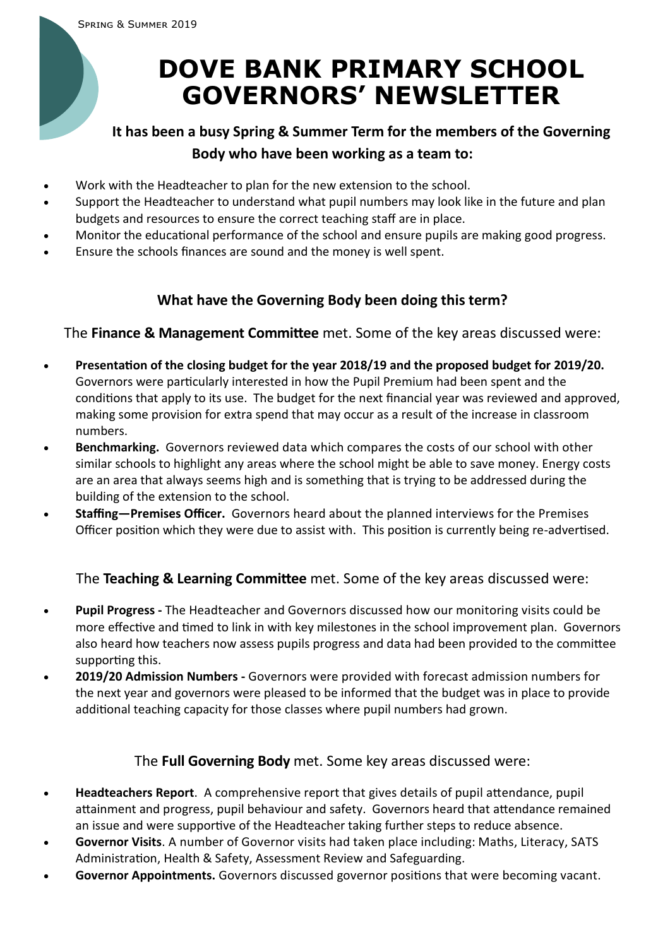# **DOVE BANK PRIMARY SCHOOL GOVERNORS' NEWSLETTER**

## **It has been a busy Spring & Summer Term for the members of the Governing Body who have been working as a team to:**

- Work with the Headteacher to plan for the new extension to the school.
- Support the Headteacher to understand what pupil numbers may look like in the future and plan budgets and resources to ensure the correct teaching staff are in place.
- Monitor the educational performance of the school and ensure pupils are making good progress.
- Ensure the schools finances are sound and the money is well spent.

### **What have the Governing Body been doing this term?**

The **Finance & Management Committee** met. Some of the key areas discussed were:

- **Presentation of the closing budget for the year 2018/19 and the proposed budget for 2019/20.**  Governors were particularly interested in how the Pupil Premium had been spent and the conditions that apply to its use. The budget for the next financial year was reviewed and approved, making some provision for extra spend that may occur as a result of the increase in classroom numbers.
- **Benchmarking.** Governors reviewed data which compares the costs of our school with other similar schools to highlight any areas where the school might be able to save money. Energy costs are an area that always seems high and is something that is trying to be addressed during the building of the extension to the school.
- **Staffing—Premises Officer.** Governors heard about the planned interviews for the Premises Officer position which they were due to assist with. This position is currently being re-advertised.

#### The **Teaching & Learning Committee** met. Some of the key areas discussed were:

- **Pupil Progress -** The Headteacher and Governors discussed how our monitoring visits could be more effective and timed to link in with key milestones in the school improvement plan. Governors also heard how teachers now assess pupils progress and data had been provided to the committee supporting this.
- **2019/20 Admission Numbers -** Governors were provided with forecast admission numbers for the next year and governors were pleased to be informed that the budget was in place to provide additional teaching capacity for those classes where pupil numbers had grown.

#### The **Full Governing Body** met. Some key areas discussed were:

- **Headteachers Report**. A comprehensive report that gives details of pupil attendance, pupil attainment and progress, pupil behaviour and safety. Governors heard that attendance remained an issue and were supportive of the Headteacher taking further steps to reduce absence.
- **Governor Visits**. A number of Governor visits had taken place including: Maths, Literacy, SATS Administration, Health & Safety, Assessment Review and Safeguarding.
- **Governor Appointments.** Governors discussed governor positions that were becoming vacant.